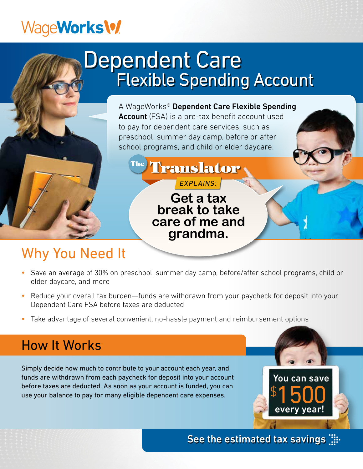## WageWorks<sup>1</sup>

## Dependent Care Flexible Spending Account

A WageWorks® Dependent Care Flexible Spending **Account** (FSA) is a pre-tax benefit account used to pay for dependent care services, such as preschool, summer day camp, before or after school programs, and child or elder daycare.

<sup>The</sup> Translator EXPLAINS:

> **Get a tax break to take care of me and grandma.**

## Why You Need It

- Save an average of 30% on preschool, summer day camp, before/after school programs, child or elder daycare, and more
- Reduce your overall tax burden—funds are withdrawn from your paycheck for deposit into your Dependent Care FSA before taxes are deducted
- Take advantage of several convenient, no-hassle payment and reimbursement options

## How It Works

Simply decide how much to contribute to your account each year, and funds are withdrawn from each paycheck for deposit into your account before taxes are deducted. As soon as your account is funded, you can use your balance to pay for many eligible dependent care expenses.

See the estimated tax savings  $\dddot{a}$ :

 $\Theta$ 

You can save

1500

every year!